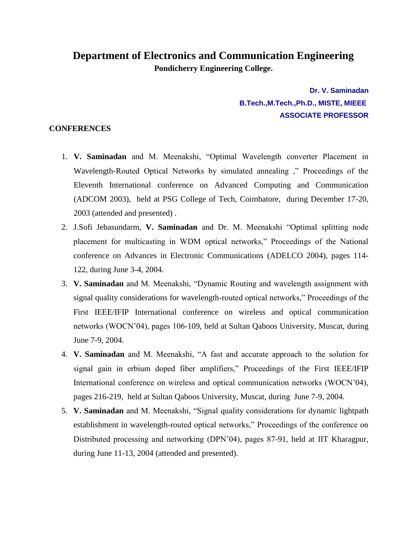## **Department of Electronics and Communication Engineering Pondicherry Engineering College.**

**Dr. V. Saminadan B.Tech.,M.Tech.,Ph.D., MISTE, MIEEE ASSOCIATE PROFESSOR**

## **CONFERENCES**

- 1. **V. Saminadan** and M. Meenakshi, "Optimal Wavelength converter Placement in Wavelength-Routed Optical Networks by simulated annealing ," Proceedings of the Eleventh International conference on Advanced Computing and Communication (ADCOM 2003), held at PSG College of Tech, Coimbatore, during December 17-20, 2003 (attended and presented) .
- 2. J.Sofi Jebasundarm, **V. Saminadan** and Dr. M. Meenakshi "Optimal splitting node placement for multicasting in WDM optical networks," Proceedings of the National conference on Advances in Electronic Communications (ADELCO 2004), pages 114- 122, during June 3-4, 2004.
- 3. **V. Saminadan** and M. Meenakshi, "Dynamic Routing and wavelength assignment with signal quality considerations for wavelength-routed optical networks," Proceedings of the First IEEE/IFIP International conference on wireless and optical communication networks (WOCN'04), pages 106-109, held at Sultan Qaboos University, Muscat, during June 7-9, 2004.
- 4. **V. Saminadan** and M. Meenakshi, "A fast and accurate approach to the solution for signal gain in erbium doped fiber amplifiers," Proceedings of the First IEEE/IFIP International conference on wireless and optical communication networks (WOCN'04), pages 216-219, held at Sultan Qaboos University, Muscat, during June 7-9, 2004.
- 5. **V. Saminadan** and M. Meenakshi, "Signal quality considerations for dynamic lightpath establishment in wavelength-routed optical networks," Proceedings of the conference on Distributed processing and networking (DPN'04), pages 87-91, held at IIT Kharagpur, during June 11-13, 2004 (attended and presented).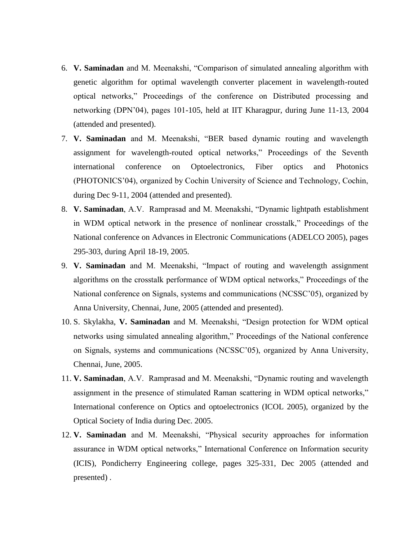- 6. **V. Saminadan** and M. Meenakshi, "Comparison of simulated annealing algorithm with genetic algorithm for optimal wavelength converter placement in wavelength-routed optical networks," Proceedings of the conference on Distributed processing and networking (DPN'04), pages 101-105, held at IIT Kharagpur, during June 11-13, 2004 (attended and presented).
- 7. **V. Saminadan** and M. Meenakshi, "BER based dynamic routing and wavelength assignment for wavelength-routed optical networks," Proceedings of the Seventh international conference on Optoelectronics, Fiber optics and Photonics (PHOTONICS'04), organized by Cochin University of Science and Technology, Cochin, during Dec 9-11, 2004 (attended and presented).
- 8. **V. Saminadan**, A.V. Ramprasad and M. Meenakshi, "Dynamic lightpath establishment in WDM optical network in the presence of nonlinear crosstalk," Proceedings of the National conference on Advances in Electronic Communications (ADELCO 2005), pages 295-303, during April 18-19, 2005.
- 9. **V. Saminadan** and M. Meenakshi, "Impact of routing and wavelength assignment algorithms on the crosstalk performance of WDM optical networks," Proceedings of the National conference on Signals, systems and communications (NCSSC'05), organized by Anna University, Chennai, June, 2005 (attended and presented).
- 10. S. Skylakha, **V. Saminadan** and M. Meenakshi, "Design protection for WDM optical networks using simulated annealing algorithm," Proceedings of the National conference on Signals, systems and communications (NCSSC'05), organized by Anna University, Chennai, June, 2005.
- 11. **V. Saminadan**, A.V. Ramprasad and M. Meenakshi, "Dynamic routing and wavelength assignment in the presence of stimulated Raman scattering in WDM optical networks," International conference on Optics and optoelectronics (ICOL 2005), organized by the Optical Society of India during Dec. 2005.
- 12. **V. Saminadan** and M. Meenakshi, "Physical security approaches for information assurance in WDM optical networks," International Conference on Information security (ICIS), Pondicherry Engineering college, pages 325-331, Dec 2005 (attended and presented) .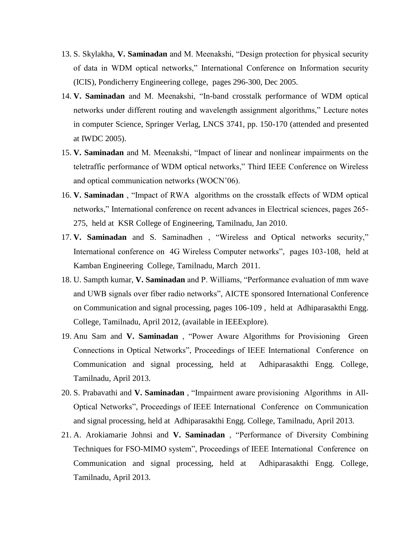- 13. S. Skylakha, **V. Saminadan** and M. Meenakshi, "Design protection for physical security of data in WDM optical networks," International Conference on Information security (ICIS), Pondicherry Engineering college, pages 296-300, Dec 2005.
- 14. **V. Saminadan** and M. Meenakshi, "In-band crosstalk performance of WDM optical networks under different routing and wavelength assignment algorithms," Lecture notes in computer Science, Springer Verlag, LNCS 3741, pp. 150-170 (attended and presented at IWDC 2005).
- 15. **V. Saminadan** and M. Meenakshi, "Impact of linear and nonlinear impairments on the teletraffic performance of WDM optical networks," Third IEEE Conference on Wireless and optical communication networks (WOCN'06).
- 16. **V. Saminadan** , "Impact of RWA algorithms on the crosstalk effects of WDM optical networks," International conference on recent advances in Electrical sciences, pages 265- 275, held at KSR College of Engineering, Tamilnadu, Jan 2010.
- 17. **V. Saminadan** and S. Saminadhen , "Wireless and Optical networks security," International conference on 4G Wireless Computer networks", pages 103-108, held at Kamban Engineering College, Tamilnadu, March 2011.
- 18. U. Sampth kumar, **V. Saminadan** and P. Williams, "Performance evaluation of mm wave and UWB signals over fiber radio networks", AICTE sponsored International Conference on Communication and signal processing, pages 106-109 , held at Adhiparasakthi Engg. College, Tamilnadu, April 2012, (available in IEEExplore).
- 19. Anu Sam and **V. Saminadan** , "Power Aware Algorithms for Provisioning Green Connections in Optical Networks", Proceedings of IEEE International Conference on Communication and signal processing, held at Adhiparasakthi Engg. College, Tamilnadu, April 2013.
- 20. S. Prabavathi and **V. Saminadan** , "Impairment aware provisioning Algorithms in All-Optical Networks", Proceedings of IEEE International Conference on Communication and signal processing, held at Adhiparasakthi Engg. College, Tamilnadu, April 2013.
- 21. A. Arokiamarie Johnsi and **V. Saminadan** , "Performance of Diversity Combining Techniques for FSO-MIMO system", Proceedings of IEEE International Conference on Communication and signal processing, held at Adhiparasakthi Engg. College, Tamilnadu, April 2013.